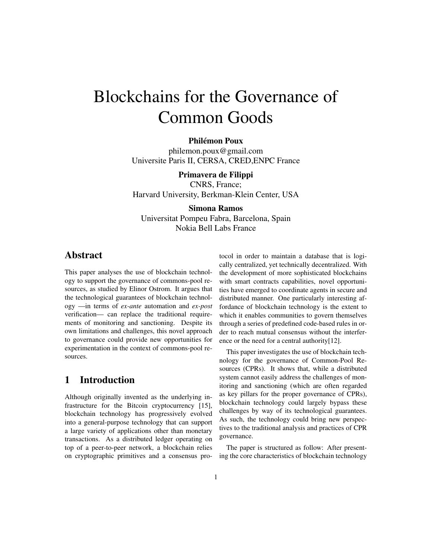# Blockchains for the Governance of Common Goods

#### Philémon Poux

<philemon.poux@gmail.com> Universite Paris II, CERSA, CRED,ENPC France

#### Primavera de Filippi

CNRS, France; Harvard University, Berkman-Klein Center, USA

#### Simona Ramos

Universitat Pompeu Fabra, Barcelona, Spain Nokia Bell Labs France

## Abstract

This paper analyses the use of blockchain technology to support the governance of commons-pool resources, as studied by Elinor Ostrom. It argues that the technological guarantees of blockchain technology —in terms of *ex-ante* automation and *ex-post* verification— can replace the traditional requirements of monitoring and sanctioning. Despite its own limitations and challenges, this novel approach to governance could provide new opportunities for experimentation in the context of commons-pool resources.

## 1 Introduction

Although originally invented as the underlying infrastructure for the Bitcoin cryptocurrency [\[15\]](#page-8-0), blockchain technology has progressively evolved into a general-purpose technology that can support a large variety of applications other than monetary transactions. As a distributed ledger operating on top of a peer-to-peer network, a blockchain relies on cryptographic primitives and a consensus protocol in order to maintain a database that is logically centralized, yet technically decentralized. With the development of more sophisticated blockchains with smart contracts capabilities, novel opportunities have emerged to coordinate agents in secure and distributed manner. One particularly interesting affordance of blockchain technology is the extent to which it enables communities to govern themselves through a series of predefined code-based rules in order to reach mutual consensus without the interference or the need for a central authority[\[12\]](#page-7-0).

This paper investigates the use of blockchain technology for the governance of Common-Pool Resources (CPRs). It shows that, while a distributed system cannot easily address the challenges of monitoring and sanctioning (which are often regarded as key pillars for the proper governance of CPRs), blockchain technology could largely bypass these challenges by way of its technological guarantees. As such, the technology could bring new perspectives to the traditional analysis and practices of CPR governance.

The paper is structured as follow: After presenting the core characteristics of blockchain technology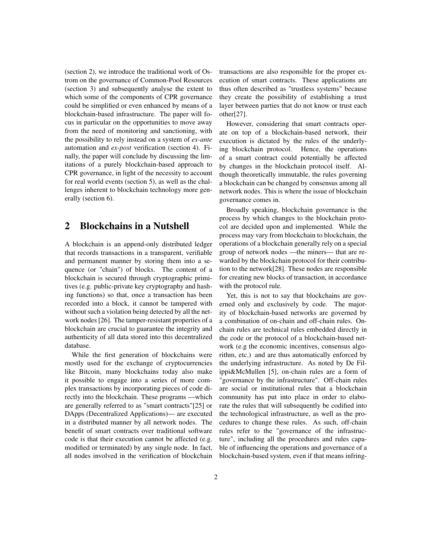[\(section 2\)](#page-1-0), we introduce the traditional work of Ostrom on the governance of Common-Pool Resources [\(section 3\)](#page-2-0) and subsequently analyse the extent to which some of the components of CPR governance could be simplified or even enhanced by means of a blockchain-based infrastructure. The paper will focus in particular on the opportunities to move away from the need of monitoring and sanctioning, with the possibility to rely instead on a system of *ex-ante* automation and *ex-post* verification [\(section 4\)](#page-3-0). Finally, the paper will conclude by discussing the limitations of a purely blockchain-based approach to CPR governance, in light of the necessity to account for real world events [\(section 5\)](#page-5-0), as well as the challenges inherent to blockchain technology more generally [\(section 6\)](#page-5-1).

### <span id="page-1-0"></span>2 Blockchains in a Nutshell

A blockchain is an append-only distributed ledger that records transactions in a transparent, verifiable and permanent manner by storing them into a sequence (or "chain") of blocks. The content of a blockchain is secured through cryptographic primitives (e.g. public-private key cryptography and hashing functions) so that, once a transaction has been recorded into a block, it cannot be tampered with without such a violation being detected by all the network nodes [\[26\]](#page-8-1). The tamper-resistant properties of a blockchain are crucial to guarantee the integrity and authenticity of all data stored into this decentralized database.

While the first generation of blockchains were mostly used for the exchange of cryptocurrencies like Bitcoin, many blockchains today also make it possible to engage into a series of more complex transactions by incorporating pieces of code directly into the blockchain. These programs —which are generally referred to as "smart contracts"[\[25\]](#page-8-2) or DApps (Decentralized Applications)— are executed in a distributed manner by all network nodes. The benefit of smart contracts over traditional software code is that their execution cannot be affected (e.g. modified or terminated) by any single node. In fact, all nodes involved in the verification of blockchain transactions are also responsible for the proper execution of smart contracts. These applications are thus often described as "trustless systems" because they create the possibility of establishing a trust layer between parties that do not know or trust each other[\[27\]](#page-8-3).

However, considering that smart contracts operate on top of a blockchain-based network, their execution is dictated by the rules of the underlying blockchain protocol. Hence, the operations of a smart contract could potentially be affected by changes in the blockchain protocol itself. Although theoretically immutable, the rules governing a blockchain can be changed by consensus among all network nodes. This is where the issue of blockchain governance comes in.

Broadly speaking, blockchain governance is the process by which changes to the blockchain protocol are decided upon and implemented. While the process may vary from blockchain to blockchain, the operations of a blockchain generally rely on a special group of network nodes —the miners— that are rewarded by the blockchain protocol for their contribution to the network[\[28\]](#page-8-4). These nodes are responsible for creating new blocks of transaction, in accordance with the protocol rule.

Yet, this is not to say that blockchains are governed only and exclusively by code. The majority of blockchain-based networks are governed by a combination of on-chain and off-chain rules. Onchain rules are technical rules embedded directly in the code or the protocol of a blockchain-based network (e.g the economic incentives, consensus algorithm, etc.) and are thus automatically enforced by the underlying infrastructure. As noted by De Filippi&McMullen [\[5\]](#page-7-1), on-chain rules are a form of "governance by the infrastructure". Off-chain rules are social or institutional rules that a blockchain community has put into place in order to elaborate the rules that will subsequently be codified into the technological infrastructure, as well as the procedures to change these rules. As such, off-chain rules refer to the "governance of the infrastructure", including all the procedures and rules capable of influencing the operations and governance of a blockchain-based system, even if that means infring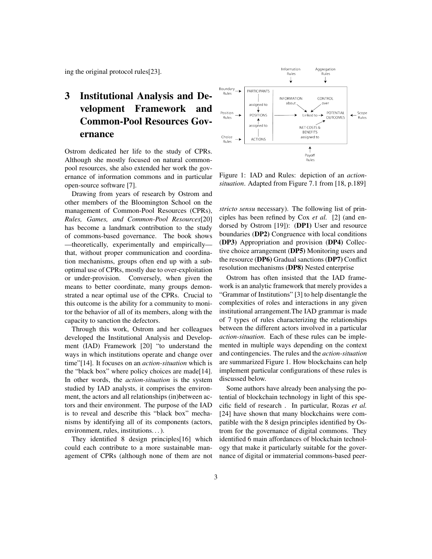ing the original protocol rules[\[23\]](#page-8-5).

# <span id="page-2-0"></span>3 Institutional Analysis and Development Framework and Common-Pool Resources Governance

Ostrom dedicated her life to the study of CPRs. Although she mostly focused on natural commonpool resources, she also extended her work the governance of information commons and in particular open-source software [\[7\]](#page-7-2).

Drawing from years of research by Ostrom and other members of the Bloomington School on the management of Common-Pool Resources (CPRs), *Rules, Games, and Common-Pool Resources*[\[20\]](#page-8-6) has become a landmark contribution to the study of commons-based governance. The book shows —theoretically, experimentally and empirically that, without proper communication and coordination mechanisms, groups often end up with a suboptimal use of CPRs, mostly due to over-exploitation or under-provision. Conversely, when given the means to better coordinate, many groups demonstrated a near optimal use of the CPRs. Crucial to this outcome is the ability for a community to monitor the behavior of all of its members, along with the capacity to sanction the defectors.

Through this work, Ostrom and her colleagues developed the Institutional Analysis and Development (IAD) Framework [\[20\]](#page-8-6) "to understand the ways in which institutions operate and change over time"[\[14\]](#page-7-3). It focuses on an *action-situation* which is the "black box" where policy choices are made[\[14\]](#page-7-3). In other words, the *action-situation* is the system studied by IAD analysts, it comprises the environment, the actors and all relationships (in)between actors and their environment. The purpose of the IAD is to reveal and describe this "black box" mechanisms by identifying all of its components (actors, environment, rules, institutions. . . ).

They identified 8 design principles[\[16\]](#page-8-7) which could each contribute to a more sustainable management of CPRs (although none of them are not



<span id="page-2-1"></span>Figure 1: IAD and Rules: depiction of an *actionsituation*. Adapted from Figure 7.1 from [\[18,](#page-8-8) p.189]

*stricto sensu* necessary). The following list of principles has been refined by Cox *et al.* [\[2\]](#page-7-4) (and endorsed by Ostrom [\[19\]](#page-8-9)): (DP1) User and resource boundaries (DP2) Congruence with local conditions (DP3) Appropriation and provision (DP4) Collective choice arrangement (DP5) Monitoring users and the resource (DP6) Gradual sanctions (DP7) Conflict resolution mechanisms (DP8) Nested enterprise

Ostrom has often insisted that the IAD framework is an analytic framework that merely provides a "Grammar of Institutions" [\[3\]](#page-7-5) to help disentangle the complexities of roles and interactions in any given institutional arrangement.The IAD grammar is made of 7 types of rules characterizing the relationships between the different actors involved in a particular *action-situation*. Each of these rules can be implemented in multiple ways depending on the context and contingencies. The rules and the *action-situation* are summarized [Figure 1.](#page-2-1) How blockchains can help implement particular configurations of these rules is discussed below.

Some authors have already been analysing the potential of blockchain technology in light of this specific field of research . In particular, Rozas *et al.* [\[24\]](#page-8-10) have shown that many blockchains were compatible with the 8 design principles identified by Ostrom for the governance of digital commons. They identified 6 main affordances of blockchain technology that make it particularly suitable for the governance of digital or immaterial commons-based peer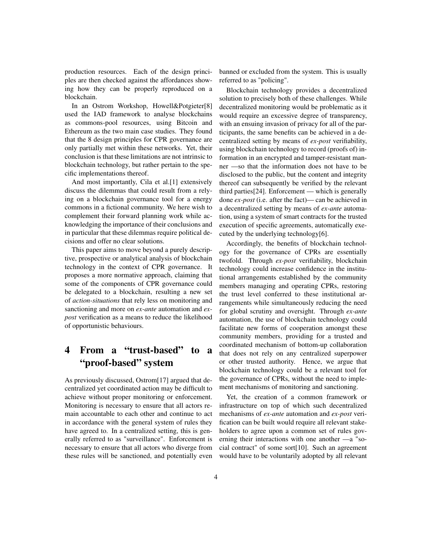production resources. Each of the design principles are then checked against the affordances showing how they can be properly reproduced on a blockchain.

In an Ostrom Workshop, Howell&Potgieter[\[8\]](#page-7-6) used the IAD framework to analyse blockchains as commons-pool resources, using Bitcoin and Ethereum as the two main case studies. They found that the 8 design principles for CPR governance are only partially met within these networks. Yet, their conclusion is that these limitations are not intrinsic to blockchain technology, but rather pertain to the specific implementations thereof.

And most importantly, [Cila et al.\[1\]](#page-7-7) extensively discuss the dilemmas that could result from a relying on a blockchain governance tool for a energy commons in a fictional community. We here wish to complement their forward planning work while acknowledging the importance of their conclusions and in particular that these dilemmas require political decisions and offer no clear solutions.

This paper aims to move beyond a purely descriptive, prospective or analytical analysis of blockchain technology in the context of CPR governance. It proposes a more normative approach, claiming that some of the components of CPR governance could be delegated to a blockchain, resulting a new set of *action-situations* that rely less on monitoring and sanctioning and more on *ex-ante* automation and *expost* verification as a means to reduce the likelihood of opportunistic behaviours.

# <span id="page-3-0"></span>4 From a "trust-based" to a "proof-based" system

As previously discussed, Ostrom[\[17\]](#page-8-11) argued that decentralized yet coordinated action may be difficult to achieve without proper monitoring or enforcement. Monitoring is necessary to ensure that all actors remain accountable to each other and continue to act in accordance with the general system of rules they have agreed to. In a centralized setting, this is generally referred to as "surveillance". Enforcement is necessary to ensure that all actors who diverge from these rules will be sanctioned, and potentially even banned or excluded from the system. This is usually referred to as "policing".

Blockchain technology provides a decentralized solution to precisely both of these challenges. While decentralized monitoring would be problematic as it would require an excessive degree of transparency, with an ensuing invasion of privacy for all of the participants, the same benefits can be achieved in a decentralized setting by means of *ex-post* verifiability, using blockchain technology to record (proofs of) information in an encrypted and tamper-resistant manner —so that the information does not have to be disclosed to the public, but the content and integrity thereof can subsequently be verified by the relevant third parties[\[24\]](#page-8-10). Enforcement — which is generally done *ex-post* (i.e. after the fact)— can be achieved in a decentralized setting by means of *ex-ante* automation, using a system of smart contracts for the trusted execution of specific agreements, automatically executed by the underlying technology[\[6\]](#page-7-8).

Accordingly, the benefits of blockchain technology for the governance of CPRs are essentially twofold. Through *ex-post* verifiability, blockchain technology could increase confidence in the institutional arrangements established by the community members managing and operating CPRs, restoring the trust level conferred to these institutional arrangements while simultaneously reducing the need for global scrutiny and oversight. Through *ex-ante* automation, the use of blockchain technology could facilitate new forms of cooperation amongst these community members, providing for a trusted and coordinated mechanism of bottom-up collaboration that does not rely on any centralized superpower or other trusted authority. Hence, we argue that blockchain technology could be a relevant tool for the governance of CPRs, without the need to implement mechanisms of monitoring and sanctioning.

Yet, the creation of a common framework or infrastructure on top of which such decentralized mechanisms of *ex-ante* automation and *ex-post* verification can be built would require all relevant stakeholders to agree upon a common set of rules governing their interactions with one another —a "social contract" of some sort[\[10\]](#page-7-9). Such an agreement would have to be voluntarily adopted by all relevant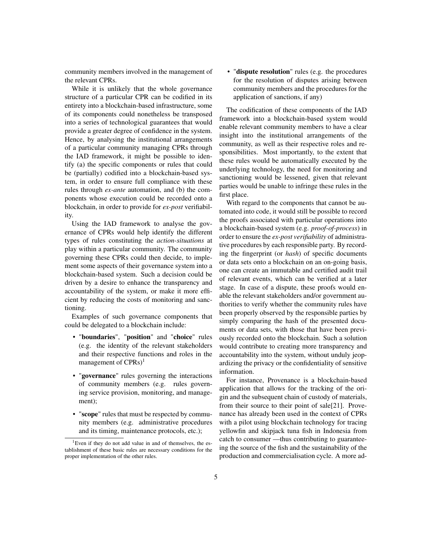community members involved in the management of the relevant CPRs.

While it is unlikely that the whole governance structure of a particular CPR can be codified in its entirety into a blockchain-based infrastructure, some of its components could nonetheless be transposed into a series of technological guarantees that would provide a greater degree of confidence in the system. Hence, by analysing the institutional arrangements of a particular community managing CPRs through the IAD framework, it might be possible to identify (a) the specific components or rules that could be (partially) codified into a blockchain-based system, in order to ensure full compliance with these rules through *ex-ante* automation, and (b) the components whose execution could be recorded onto a blockchain, in order to provide for *ex-post* verifiability.

Using the IAD framework to analyse the governance of CPRs would help identify the different types of rules constituting the *action-situations* at play within a particular community. The community governing these CPRs could then decide, to implement some aspects of their governance system into a blockchain-based system. Such a decision could be driven by a desire to enhance the transparency and accountability of the system, or make it more efficient by reducing the costs of monitoring and sanctioning.

Examples of such governance components that could be delegated to a blockchain include:

- "boundaries", "position" and "choice" rules (e.g. the identity of the relevant stakeholders and their respective functions and roles in the management of  $CPRs$ <sup>[1](#page-4-0)</sup>
- "governance" rules governing the interactions of community members (e.g. rules governing service provision, monitoring, and management);
- "scope" rules that must be respected by community members (e.g. administrative procedures and its timing, maintenance protocols, etc.);

• "dispute resolution" rules (e.g. the procedures for the resolution of disputes arising between community members and the procedures for the application of sanctions, if any)

The codification of these components of the IAD framework into a blockchain-based system would enable relevant community members to have a clear insight into the institutional arrangements of the community, as well as their respective roles and responsibilities. Most importantly, to the extent that these rules would be automatically executed by the underlying technology, the need for monitoring and sanctioning would be lessened, given that relevant parties would be unable to infringe these rules in the first place.

With regard to the components that cannot be automated into code, it would still be possible to record the proofs associated with particular operations into a blockchain-based system (e.g. *proof-of-process*) in order to ensure the *ex-post verifiability* of administrative procedures by each responsible party. By recording the fingerprint (or *hash*) of specific documents or data sets onto a blockchain on an on-going basis, one can create an immutable and certified audit trail of relevant events, which can be verified at a later stage. In case of a dispute, these proofs would enable the relevant stakeholders and/or government authorities to verify whether the community rules have been properly observed by the responsible parties by simply comparing the hash of the presented documents or data sets, with those that have been previously recorded onto the blockchain. Such a solution would contribute to creating more transparency and accountability into the system, without unduly jeopardizing the privacy or the confidentiality of sensitive information.

For instance, Provenance is a blockchain-based application that allows for the tracking of the origin and the subsequent chain of custody of materials, from their source to their point of sale[\[21\]](#page-8-12). Provenance has already been used in the context of CPRs with a pilot using blockchain technology for tracing yellowfin and skipjack tuna fish in Indonesia from catch to consumer —thus contributing to guaranteeing the source of the fish and the sustainability of the production and commercialisation cycle. A more ad-

<span id="page-4-0"></span><sup>&</sup>lt;sup>1</sup>Even if they do not add value in and of themselves, the establishment of these basic rules are necessary conditions for the proper implementation of the other rules.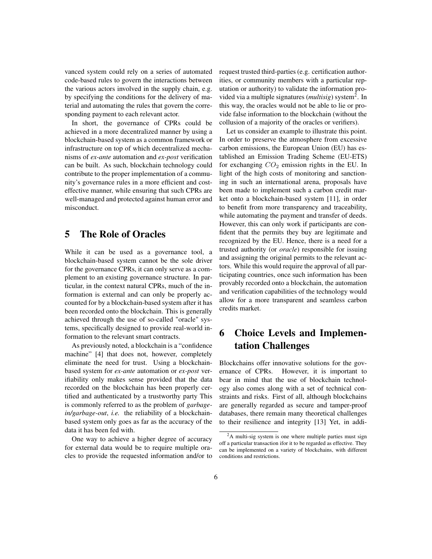vanced system could rely on a series of automated code-based rules to govern the interactions between the various actors involved in the supply chain, e.g. by specifying the conditions for the delivery of material and automating the rules that govern the corresponding payment to each relevant actor.

In short, the governance of CPRs could be achieved in a more decentralized manner by using a blockchain-based system as a common framework or infrastructure on top of which decentralized mechanisms of *ex-ante* automation and *ex-post* verification can be built. As such, blockchain technology could contribute to the proper implementation of a community's governance rules in a more efficient and costeffective manner, while ensuring that such CPRs are well-managed and protected against human error and misconduct.

# <span id="page-5-0"></span>5 The Role of Oracles

While it can be used as a governance tool, a blockchain-based system cannot be the sole driver for the governance CPRs, it can only serve as a complement to an existing governance structure. In particular, in the context natural CPRs, much of the information is external and can only be properly accounted for by a blockchain-based system after it has been recorded onto the blockchain. This is generally achieved through the use of so-called "oracle" systems, specifically designed to provide real-world information to the relevant smart contracts.

As previously noted, a blockchain is a "confidence machine" [\[4\]](#page-7-10) that does not, however, completely eliminate the need for trust. Using a blockchainbased system for *ex-ante* automation or *ex-post* verifiability only makes sense provided that the data recorded on the blockchain has been properly certified and authenticated by a trustworthy party This is commonly referred to as the problem of *garbagein/garbage-out*, *i.e.* the reliability of a blockchainbased system only goes as far as the accuracy of the data it has been fed with.

One way to achieve a higher degree of accuracy for external data would be to require multiple oracles to provide the requested information and/or to request trusted third-parties (e.g. certification authorities, or community members with a particular reputation or authority) to validate the information provided via a multiple signatures (*multisig*) system[2](#page-5-2) . In this way, the oracles would not be able to lie or provide false information to the blockchain (without the collusion of a majority of the oracles or verifiers).

Let us consider an example to illustrate this point. In order to preserve the atmosphere from excessive carbon emissions, the European Union (EU) has established an Emission Trading Scheme (EU-ETS) for exchanging  $CO<sub>2</sub>$  emission rights in the EU. In light of the high costs of monitoring and sanctioning in such an international arena, proposals have been made to implement such a carbon credit market onto a blockchain-based system [\[11\]](#page-7-11), in order to benefit from more transparency and traceability, while automating the payment and transfer of deeds. However, this can only work if participants are confident that the permits they buy are legitimate and recognized by the EU. Hence, there is a need for a trusted authority (or *oracle*) responsible for issuing and assigning the original permits to the relevant actors. While this would require the approval of all participating countries, once such information has been provably recorded onto a blockchain, the automation and verification capabilities of the technology would allow for a more transparent and seamless carbon credits market.

# <span id="page-5-1"></span>6 Choice Levels and Implementation Challenges

Blockchains offer innovative solutions for the governance of CPRs. However, it is important to bear in mind that the use of blockchain technology also comes along with a set of technical constraints and risks. First of all, although blockchains are generally regarded as secure and tamper-proof databases, there remain many theoretical challenges to their resilience and integrity [\[13\]](#page-7-12) Yet, in addi-

<span id="page-5-2"></span> $2A$  multi-sig system is one where multiple parties must sign off a particular transaction ifor it to be regarded as effective. They can be implemented on a variety of blockchains, with different conditions and restrictions.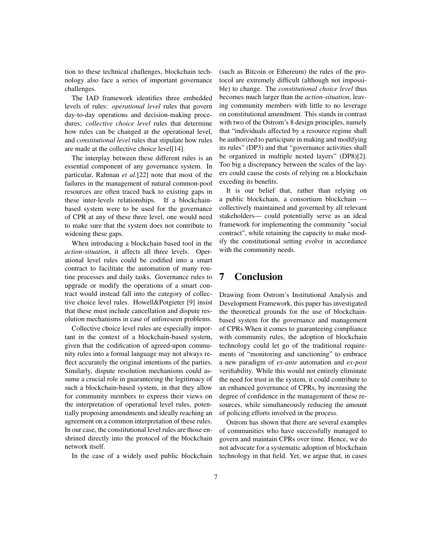tion to these technical challenges, blockchain technology also face a series of important governance challenges.

The IAD framework identifies three embedded levels of rules: *operational level* rules that govern day-to-day operations and decision-making procedures; *collective choice level* rules that determine how rules can be changed at the operational level, and *constitutional level* rules that stipulate how rules are made at the collective choice level[\[14\]](#page-7-3).

The interplay between these different rules is an essential component of any governance system. In particular, Rahman *et al.*[\[22\]](#page-8-13) note that most of the failures in the management of natural common-pool resources are often traced back to existing gaps in these inter-levels relationships. If a blockchainbased system were to be used for the governance of CPR at any of these three level, one would need to make sure that the system does not contribute to widening these gaps.

When introducing a blockchain based tool in the *action-situation*, it affects all three levels. Operational level rules could be codified into a smart contract to facilitate the automation of many routine processes and daily tasks. Governance rules to upgrade or modify the operations of a smart contract would instead fall into the category of collective choice level rules. Howell&Potgieter [\[9\]](#page-7-13) insist that these must include cancellation and dispute resolution mechanisms in case of unforeseen problems.

Collective choice level rules are especially important in the context of a blockchain-based system, given that the codification of agreed-upon community rules into a formal language may not always reflect accurately the original intentions of the parties. Similarly, dispute resolution mechanisms could assume a crucial role in guaranteeing the legitimacy of such a blockchain-based system, in that they allow for community members to express their views on the interpretation of operational level rules, potentially proposing amendments and ideally reaching an agreement on a common interpretation of these rules. In our case, the constitutional level rules are those enshrined directly into the protocol of the blockchain network itself.

In the case of a widely used public blockchain

(such as Bitcoin or Ethereum) the rules of the protocol are extremely difficult (although not impossible) to change. The *constitutional choice level* thus becomes much larger than the *action-situation*, leaving community members with little to no leverage on constitutional amendment. This stands in contrast with two of the Ostrom's 8 design principles, namely that "individuals affected by a resource regime shall be authorized to participate in making and modifying its rules" (DP3) and that "governance activities shall be organized in multiple nested layers" (DP8)[\[2\]](#page-7-4). Too big a discrepancy between the scales of the layers could cause the costs of relying on a blockchain exceding its benefits.

It is our belief that, rather than relying on a public blockchain, a consortium blockchain collectively maintained and governed by all relevant stakeholders— could potentially serve as an ideal framework for implementing the community "social contract", while retaining the capacity to make modify the constitutional setting evolve in accordance with the community needs.

# 7 Conclusion

Drawing from Ostrom's Institutional Analysis and Development Framework, this paper has investigated the theoretical grounds for the use of blockchainbased system for the governance and management of CPRs.When it comes to guaranteeing compliance with community rules, the adoption of blockchain technology could let go of the traditional requirements of "monitoring and sanctioning" to embrace a new paradigm of *ex-ante* automation and *ex-post* verifiability. While this would not entirely eliminate the need for trust in the system, it could contribute to an enhanced governance of CPRs, by increasing the degree of confidence in the management of these resources, while simultaneously reducing the amount of policing efforts involved in the process.

Ostrom has shown that there are several examples of communities who have successfully managed to govern and maintain CPRs over time. Hence, we do not advocate for a systematic adoption of blockchain technology in that field. Yet, we argue that, in cases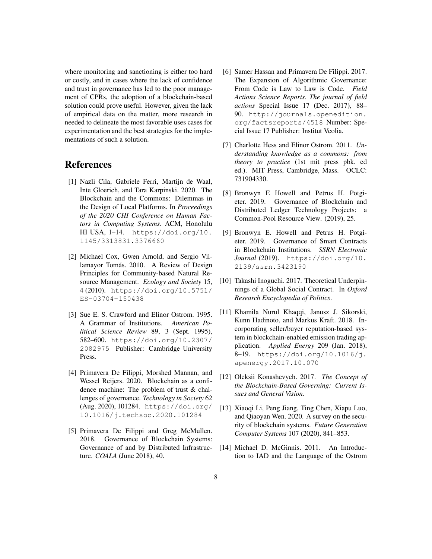where monitoring and sanctioning is either too hard or costly, and in cases where the lack of confidence and trust in governance has led to the poor management of CPRs, the adoption of a blockchain-based solution could prove useful. However, given the lack of empirical data on the matter, more research in needed to delineate the most favorable uses cases for experimentation and the best strategies for the implementations of such a solution.

### References

- <span id="page-7-7"></span>[1] Nazli Cila, Gabriele Ferri, Martijn de Waal, Inte Gloerich, and Tara Karpinski. 2020. The Blockchain and the Commons: Dilemmas in the Design of Local Platforms. In *Proceedings of the 2020 CHI Conference on Human Factors in Computing Systems*. ACM, Honolulu HI USA, 1–14. [https://doi.org/10.](https://doi.org/10.1145/3313831.3376660) [1145/3313831.3376660](https://doi.org/10.1145/3313831.3376660)
- <span id="page-7-4"></span>[2] Michael Cox, Gwen Arnold, and Sergio Villamayor Tomás. 2010. A Review of Design Principles for Community-based Natural Resource Management. *Ecology and Society* 15, 4 (2010). [https://doi.org/10.5751/](https://doi.org/10.5751/ES-03704-150438) [ES-03704-150438](https://doi.org/10.5751/ES-03704-150438)
- <span id="page-7-5"></span>[3] Sue E. S. Crawford and Elinor Ostrom. 1995. A Grammar of Institutions. *American Political Science Review* 89, 3 (Sept. 1995), 582–600. [https://doi.org/10.2307/](https://doi.org/10.2307/2082975) [2082975](https://doi.org/10.2307/2082975) Publisher: Cambridge University Press.
- <span id="page-7-10"></span>[4] Primavera De Filippi, Morshed Mannan, and Wessel Reijers. 2020. Blockchain as a confidence machine: The problem of trust & challenges of governance. *Technology in Society* 62 (Aug. 2020), 101284. [https://doi.org/](https://doi.org/10.1016/j.techsoc.2020.101284) [10.1016/j.techsoc.2020.101284](https://doi.org/10.1016/j.techsoc.2020.101284)
- <span id="page-7-1"></span>[5] Primavera De Filippi and Greg McMullen. 2018. Governance of Blockchain Systems: Governance of and by Distributed Infrastructure. *COALA* (June 2018), 40.
- <span id="page-7-8"></span>[6] Samer Hassan and Primavera De Filippi. 2017. The Expansion of Algorithmic Governance: From Code is Law to Law is Code. *Field Actions Science Reports. The journal of field actions* Special Issue 17 (Dec. 2017), 88– 90. [http://journals.openedition.](http://journals.openedition.org/factsreports/4518) [org/factsreports/4518](http://journals.openedition.org/factsreports/4518) Number: Special Issue 17 Publisher: Institut Veolia.
- <span id="page-7-2"></span>[7] Charlotte Hess and Elinor Ostrom. 2011. *Understanding knowledge as a commons: from theory to practice* (1st mit press pbk. ed ed.). MIT Press, Cambridge, Mass. OCLC: 731904330.
- <span id="page-7-6"></span>[8] Bronwyn E Howell and Petrus H. Potgieter. 2019. Governance of Blockchain and Distributed Ledger Technology Projects: a Common-Pool Resource View. (2019), 25.
- <span id="page-7-13"></span>[9] Bronwyn E. Howell and Petrus H. Potgieter. 2019. Governance of Smart Contracts in Blockchain Institutions. *SSRN Electronic Journal* (2019). [https://doi.org/10.](https://doi.org/10.2139/ssrn.3423190) [2139/ssrn.3423190](https://doi.org/10.2139/ssrn.3423190)
- <span id="page-7-9"></span>[10] Takashi Inoguchi. 2017. Theoretical Underpinnings of a Global Social Contract. In *Oxford Research Encyclopedia of Politics*.
- <span id="page-7-11"></span>[11] Khamila Nurul Khaqqi, Janusz J. Sikorski, Kunn Hadinoto, and Markus Kraft. 2018. Incorporating seller/buyer reputation-based system in blockchain-enabled emission trading application. *Applied Energy* 209 (Jan. 2018), 8–19. [https://doi.org/10.1016/j.](https://doi.org/10.1016/j.apenergy.2017.10.070) [apenergy.2017.10.070](https://doi.org/10.1016/j.apenergy.2017.10.070)
- <span id="page-7-0"></span>[12] Oleksii Konashevych. 2017. *The Concept of the Blockchain-Based Governing: Current Issues and General Vision*.
- <span id="page-7-12"></span>[13] Xiaoqi Li, Peng Jiang, Ting Chen, Xiapu Luo, and Qiaoyan Wen. 2020. A survey on the security of blockchain systems. *Future Generation Computer Systems* 107 (2020), 841–853.
- <span id="page-7-3"></span>[14] Michael D. McGinnis. 2011. An Introduction to IAD and the Language of the Ostrom